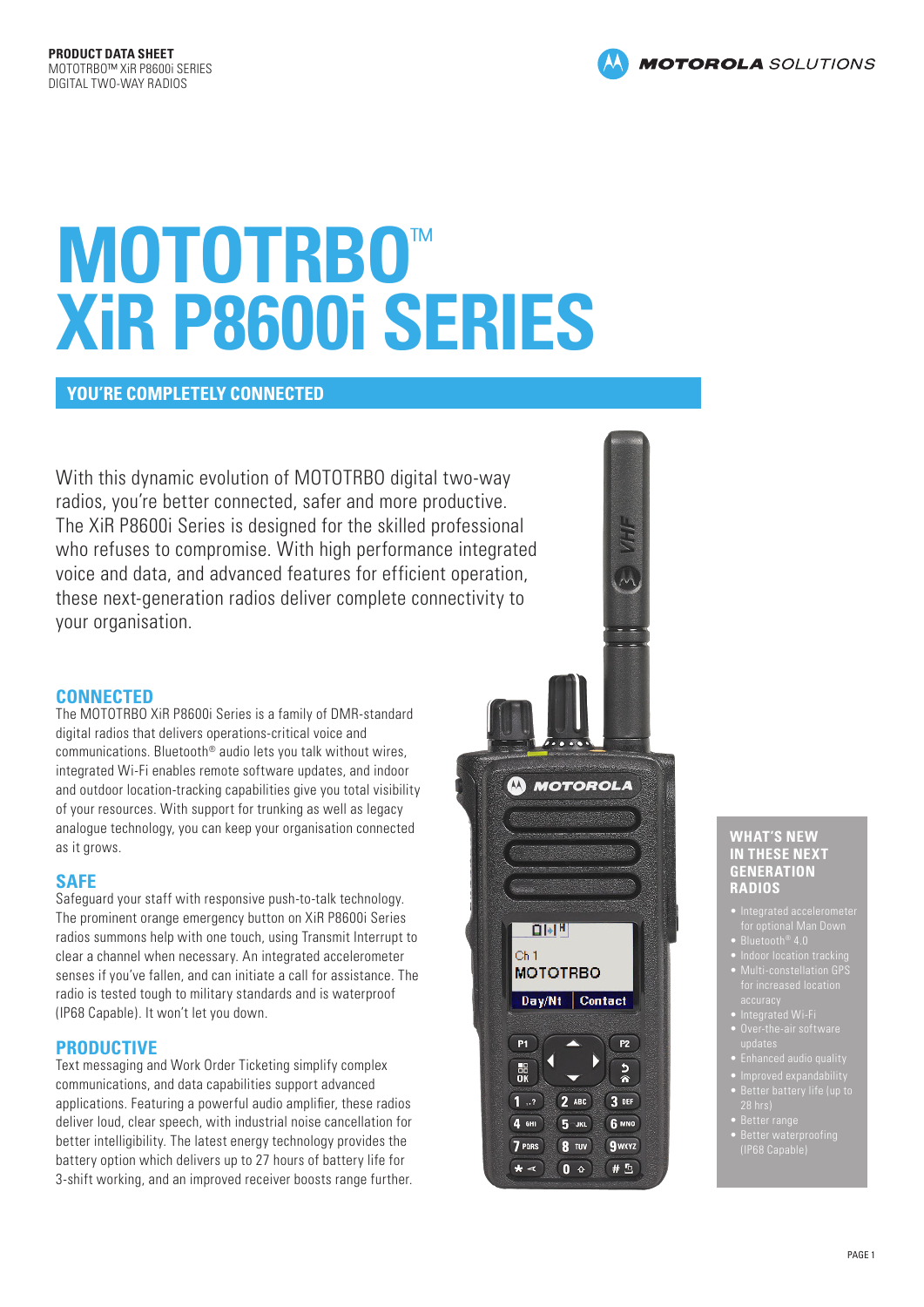# **MOTOTRBO**™ **XiR P8600i SERIES**

## **YOU'RE COMPLETELY CONNECTED**

With this dynamic evolution of MOTOTRBO digital two-way radios, you're better connected, safer and more productive. The XiR P8600i Series is designed for the skilled professional who refuses to compromise. With high performance integrated voice and data, and advanced features for efficient operation, these next-generation radios deliver complete connectivity to your organisation.

## **CONNECTED**

The MOTOTRBO XiR P8600i Series is a family of DMR-standard digital radios that delivers operations-critical voice and communications. Bluetooth® audio lets you talk without wires, integrated Wi-Fi enables remote software updates, and indoor and outdoor location-tracking capabilities give you total visibility of your resources. With support for trunking as well as legacy analogue technology, you can keep your organisation connected as it grows.

## **SAFE**

Safeguard your staff with responsive push-to-talk technology. The prominent orange emergency button on XiR P8600i Series radios summons help with one touch, using Transmit Interrupt to clear a channel when necessary. An integrated accelerometer senses if you've fallen, and can initiate a call for assistance. The radio is tested tough to military standards and is waterproof (IP68 Capable). It won't let you down.

## **PRODUCTIVE**

Text messaging and Work Order Ticketing simplify complex communications, and data capabilities support advanced applications. Featuring a powerful audio amplifier, these radios deliver loud, clear speech, with industrial noise cancellation for better intelligibility. The latest energy technology provides the battery option which delivers up to 27 hours of battery life for 3-shift working, and an improved receiver boosts range further.



### **WHAT'S NEW IN THESE NEXT GENERATION RADIOS**

- 
- 
- 
- 
- 
- 
- 
- 
- 
- 
-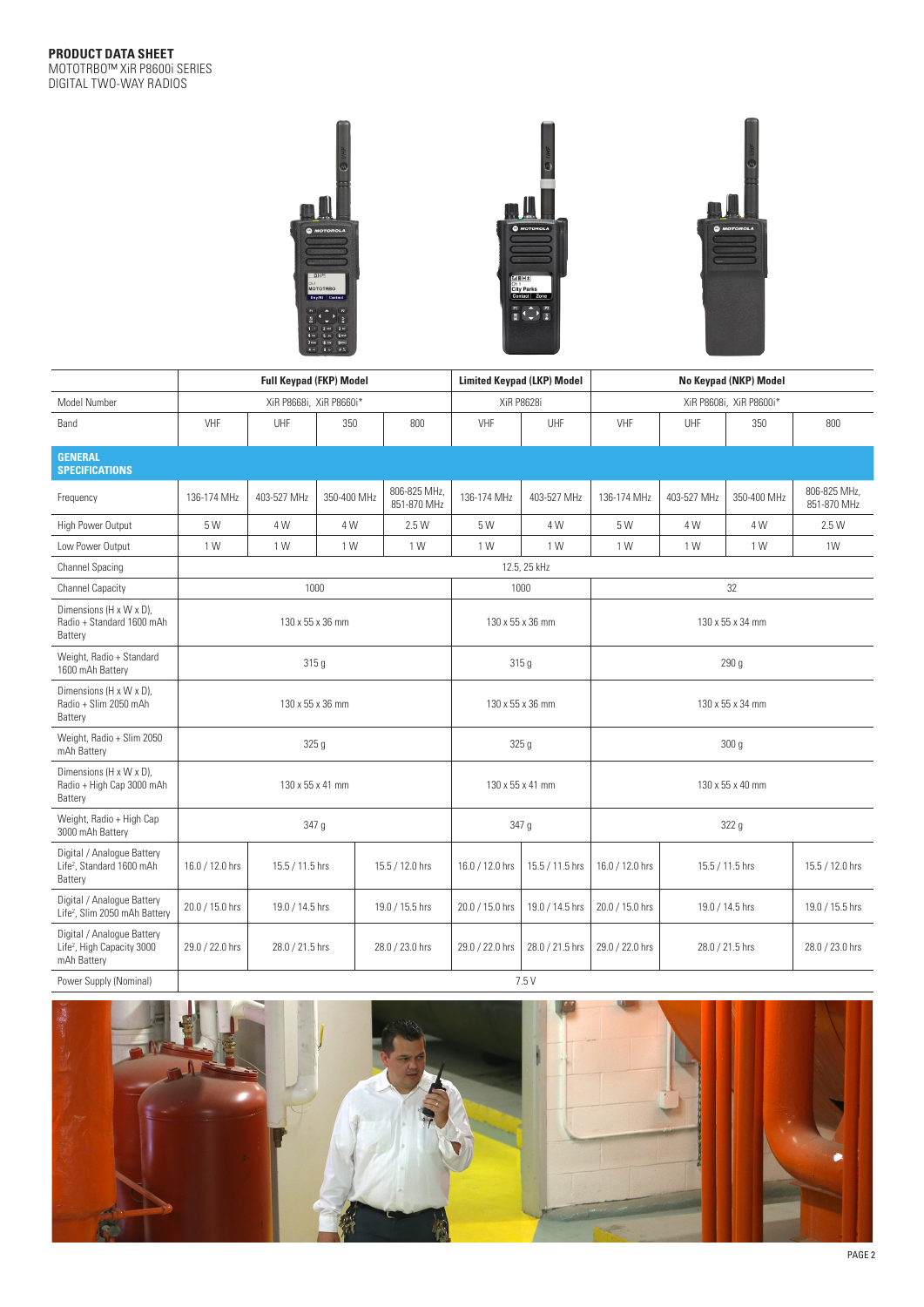

|                                                                                     | <b>Full Keypad (FKP) Model</b> |                 |             |                             |                  | <b>Limited Keypad (LKP) Model</b>    | No Keypad (NKP) Model   |                  |                 |                             |  |
|-------------------------------------------------------------------------------------|--------------------------------|-----------------|-------------|-----------------------------|------------------|--------------------------------------|-------------------------|------------------|-----------------|-----------------------------|--|
| Model Number                                                                        | XiR P8668i, XiR P8660i*        |                 |             |                             |                  | <b>XiR P8628i</b>                    | XiR P8608i, XiR P8600i* |                  |                 |                             |  |
| Band                                                                                | VHF                            | UHF             | 350         | 800                         | VHF              | UHF                                  | VHF                     | UHF              | 350             | 800                         |  |
| <b>GENERAL</b><br><b>SPECIFICATIONS</b>                                             |                                |                 |             |                             |                  |                                      |                         |                  |                 |                             |  |
| Frequency                                                                           | 136-174 MHz                    | 403-527 MHz     | 350-400 MHz | 806-825 MHz.<br>851-870 MHz | 136-174 MHz      | 403-527 MHz                          | 136-174 MHz             | 403-527 MHz      | 350-400 MHz     | 806-825 MHz.<br>851-870 MHz |  |
| High Power Output                                                                   | 5 W                            | 4 W             | 4 W         | 2.5 W                       | 5 W              | 4 W                                  | 5 W                     | 4 W              | 4 W             | 2.5 W                       |  |
| Low Power Output                                                                    | 1 W                            | 1 W             | 1 W         | 1 W                         | 1 W              | 1 W                                  | 1 W                     | 1 W              | 1 W             | 1W                          |  |
| <b>Channel Spacing</b>                                                              | 12.5, 25 kHz                   |                 |             |                             |                  |                                      |                         |                  |                 |                             |  |
| <b>Channel Capacity</b>                                                             | 1000                           |                 |             |                             |                  | 1000                                 | 32                      |                  |                 |                             |  |
| Dimensions (H x W x D),<br>Radio + Standard 1600 mAh<br>Battery                     | 130 x 55 x 36 mm               |                 |             |                             |                  | 130 x 55 x 36 mm                     | 130 x 55 x 34 mm        |                  |                 |                             |  |
| Weight, Radio + Standard<br>1600 mAh Battery                                        | 315 g                          |                 |             |                             |                  | 315 <sub>g</sub><br>290 <sub>g</sub> |                         |                  |                 |                             |  |
| Dimensions (H x W x D),<br>Radio + Slim 2050 mAh<br>Battery                         | 130 x 55 x 36 mm               |                 |             |                             |                  | 130 x 55 x 36 mm                     | 130 x 55 x 34 mm        |                  |                 |                             |  |
| Weight, Radio + Slim 2050<br>mAh Battery                                            | 325 g                          |                 |             |                             | 325 <sub>g</sub> |                                      |                         | 300 <sub>g</sub> |                 |                             |  |
| Dimensions (H x W x D),<br>Radio + High Cap 3000 mAh<br>Battery                     | 130 x 55 x 41 mm               |                 |             |                             |                  | 130 x 55 x 41 mm                     | 130 x 55 x 40 mm        |                  |                 |                             |  |
| Weight, Radio + High Cap<br>3000 mAh Battery                                        | 347 g                          |                 |             |                             | 347 g            |                                      | 322 <sub>g</sub>        |                  |                 |                             |  |
| Digital / Analogue Battery<br>Life <sup>2</sup> , Standard 1600 mAh<br>Battery      | 16.0 / 12.0 hrs                | 15.5 / 11.5 hrs |             | 15.5 / 12.0 hrs             | 16.0 / 12.0 hrs  | 15.5 / 11.5 hrs                      | 16.0 / 12.0 hrs         |                  | 15.5 / 11.5 hrs | 15.5 / 12.0 hrs             |  |
| Digital / Analogue Battery<br>Life <sup>2</sup> , Slim 2050 mAh Battery             | 20.0 / 15.0 hrs                | 19.0 / 14.5 hrs |             | 19.0 / 15.5 hrs             | 20.0 / 15.0 hrs  | 19.0 / 14.5 hrs                      | 20.0 / 15.0 hrs         |                  | 19.0 / 14.5 hrs | 19.0 / 15.5 hrs             |  |
| Digital / Analogue Battery<br>Life <sup>2</sup> , High Capacity 3000<br>mAh Battery | 29.0 / 22.0 hrs                | 28.0 / 21.5 hrs |             | 28.0 / 23.0 hrs             | 29.0 / 22.0 hrs  | 28.0 / 21.5 hrs                      | 29.0 / 22.0 hrs         |                  | 28.0 / 21.5 hrs | 28.0 / 23.0 hrs             |  |
| Power Supply (Nominal)                                                              | 7.5 V                          |                 |             |                             |                  |                                      |                         |                  |                 |                             |  |

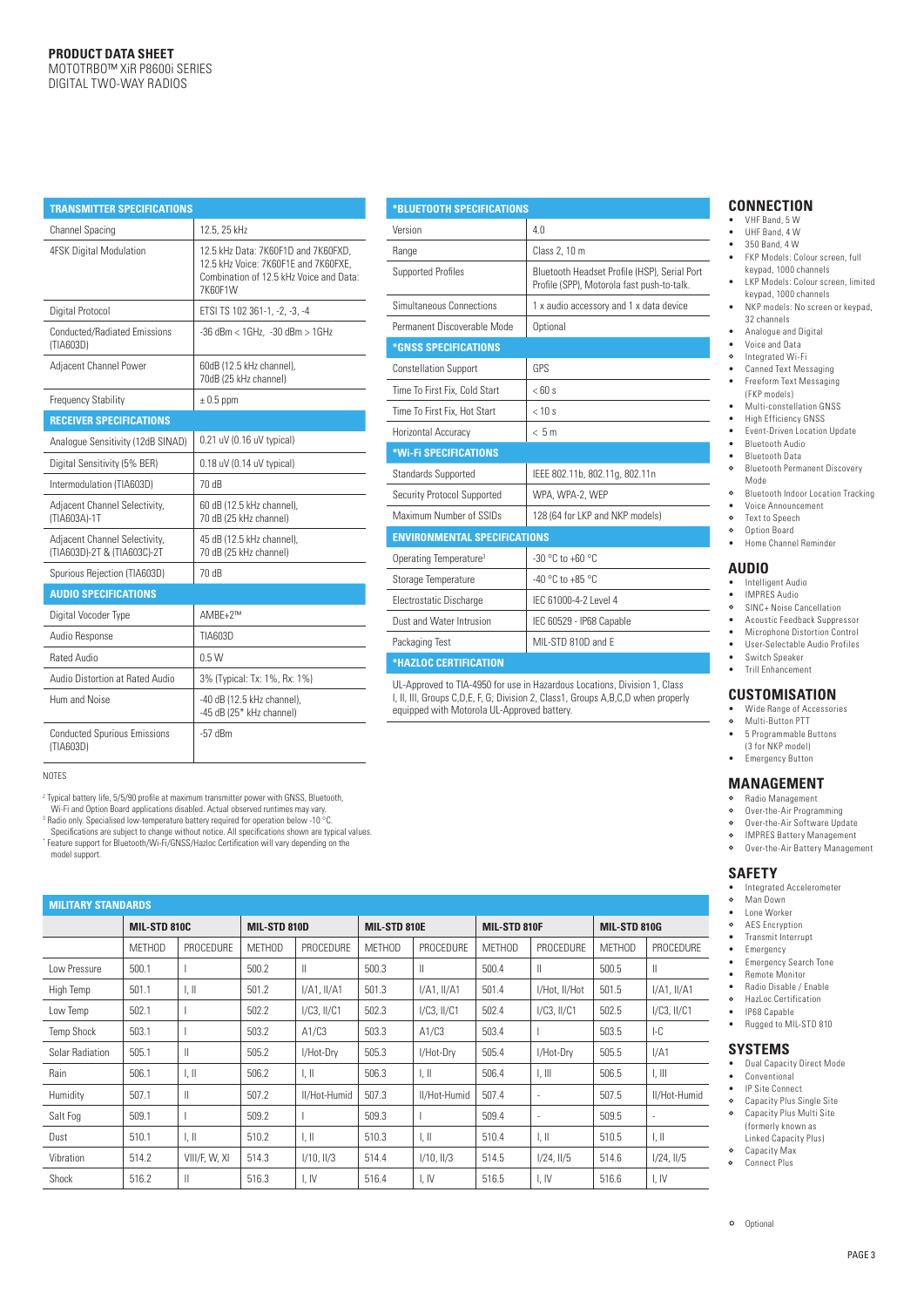| <b>TRANSMITTER SPECIFICATIONS</b>                            |                                                                                                                                   |  |  |  |  |  |  |
|--------------------------------------------------------------|-----------------------------------------------------------------------------------------------------------------------------------|--|--|--|--|--|--|
| Channel Spacing                                              | 12.5, 25 kHz                                                                                                                      |  |  |  |  |  |  |
| <b>4FSK Digital Modulation</b>                               | 12.5 kHz Data: 7K60F1D and 7K60FXD.<br>12.5 kHz Voice: 7K60F1E and 7K60FXE.<br>Combination of 12.5 kHz Voice and Data:<br>7K60F1W |  |  |  |  |  |  |
| Digital Protocol                                             | ETSI TS 102 361-1, -2, -3, -4                                                                                                     |  |  |  |  |  |  |
| <b>Conducted/Radiated Emissions</b><br>(TIA603D)             | $-36$ dBm < $1$ GHz, $-30$ dBm > $1$ GHz                                                                                          |  |  |  |  |  |  |
| Adjacent Channel Power                                       | 60dB (12.5 kHz channel),<br>70dB (25 kHz channel)                                                                                 |  |  |  |  |  |  |
| <b>Frequency Stability</b>                                   | $\pm$ 0.5 ppm                                                                                                                     |  |  |  |  |  |  |
| <b>RECEIVER SPECIFICATIONS</b>                               |                                                                                                                                   |  |  |  |  |  |  |
| Analogue Sensitivity (12dB SINAD)                            | 0.21 uV (0.16 uV typical)                                                                                                         |  |  |  |  |  |  |
| Digital Sensitivity (5% BER)                                 | $0.18$ uV (0.14 uV typical)                                                                                                       |  |  |  |  |  |  |
| Intermodulation (TIA603D)                                    | 70 dB                                                                                                                             |  |  |  |  |  |  |
| Adjacent Channel Selectivity,<br>(TIA603A)-1T                | 60 dB (12.5 kHz channel),<br>70 dB (25 kHz channel)                                                                               |  |  |  |  |  |  |
| Adjacent Channel Selectivity,<br>(TIA603D)-2T & (TIA603C)-2T | 45 dB (12.5 kHz channel),<br>70 dB (25 kHz channel)                                                                               |  |  |  |  |  |  |
| Spurious Rejection (TIA603D)                                 | 70 dB                                                                                                                             |  |  |  |  |  |  |
| <b>AUDIO SPECIFICATIONS</b>                                  |                                                                                                                                   |  |  |  |  |  |  |
| Digital Vocoder Type                                         | AMBF+2™                                                                                                                           |  |  |  |  |  |  |
| Audio Response                                               | TIA603D                                                                                                                           |  |  |  |  |  |  |
| <b>Rated Audio</b>                                           | 0.5W                                                                                                                              |  |  |  |  |  |  |
| Audio Distortion at Rated Audio                              | 3% (Typical: Tx: 1%, Rx: 1%)                                                                                                      |  |  |  |  |  |  |
| Hum and Noise                                                | -40 dB (12.5 kHz channel),<br>-45 dB (25* kHz channel)                                                                            |  |  |  |  |  |  |
| <b>Conducted Spurious Emissions</b><br>(TIA603D)             | $-57$ dBm                                                                                                                         |  |  |  |  |  |  |

#### **\*BLUETOOTH SPECIFICATIONS**

| Version                             | 40                                                                                         |  |  |  |  |  |
|-------------------------------------|--------------------------------------------------------------------------------------------|--|--|--|--|--|
| Range                               | Class 2, 10 m                                                                              |  |  |  |  |  |
| <b>Supported Profiles</b>           | Bluetooth Headset Profile (HSP), Serial Port<br>Profile (SPP), Motorola fast push-to-talk. |  |  |  |  |  |
| Simultaneous Connections            | 1 x audio accessory and 1 x data device                                                    |  |  |  |  |  |
| Permanent Discoverable Mode         | Optional                                                                                   |  |  |  |  |  |
| *GNSS SPECIFICATIONS                |                                                                                            |  |  |  |  |  |
| <b>Constellation Support</b>        | GPS                                                                                        |  |  |  |  |  |
| Time To First Fix. Cold Start       | $<$ 60 s                                                                                   |  |  |  |  |  |
| Time To First Fix. Hot Start        | < 10 s                                                                                     |  |  |  |  |  |
| Horizontal Accuracy                 | < 5m                                                                                       |  |  |  |  |  |
| *Wi-Fi SPECIFICATIONS               |                                                                                            |  |  |  |  |  |
| <b>Standards Supported</b>          | IEEE 802.11b, 802.11g, 802.11n                                                             |  |  |  |  |  |
| Security Protocol Supported         | WPA, WPA-2, WEP                                                                            |  |  |  |  |  |
| Maximum Number of SSIDs             | 128 (64 for LKP and NKP models)                                                            |  |  |  |  |  |
| <b>ENVIRONMENTAL SPECIFICATIONS</b> |                                                                                            |  |  |  |  |  |
| Operating Temperature <sup>3</sup>  | -30 °C to +60 °C                                                                           |  |  |  |  |  |
| Storage Temperature                 | $-40$ °C to $+85$ °C                                                                       |  |  |  |  |  |
| Electrostatic Discharge             | IFC 61000-4-2 Level 4                                                                      |  |  |  |  |  |
| Dust and Water Intrusion            | IEC 60529 - IP68 Capable                                                                   |  |  |  |  |  |
|                                     |                                                                                            |  |  |  |  |  |
| Packaging Test                      | MIL-STD 810D and E                                                                         |  |  |  |  |  |
| *HAZLOC CERTIFICATION               |                                                                                            |  |  |  |  |  |

UL-Approved to TIA-4950 for use in Hazardous Locations, Division 1, Class I, II, III, Groups C,D,E, F, G; Division 2, Class1, Groups A,B,C,D when properly equipped with Motorola UL-Approved battery.

NOTES

2 Typical battery life, 5/5/90 profile at maximum transmitter power with GNSS, Bluetooth,

Wi-Fi and Option Board applications disabled. Actual observed runtimes may vary.<br><sup>3</sup> Radio only. Specialised low-temperature battery required for operation below -10 °C.<br>Specifications are subject to change without notice.

| <b>MILITARY STANDARDS</b> |               |                           |               |                  |               |                           |               |                           |                     |                           |
|---------------------------|---------------|---------------------------|---------------|------------------|---------------|---------------------------|---------------|---------------------------|---------------------|---------------------------|
|                           | MIL-STD 810C  |                           | MIL-STD 810D  |                  | MIL-STD 810E  |                           | MIL-STD 810F  |                           | <b>MIL-STD 810G</b> |                           |
|                           | <b>MFTHOD</b> | <b>PROCEDURE</b>          | <b>MFTHOD</b> | <b>PROCEDURE</b> | <b>MFTHOD</b> | PROCEDURE                 | <b>MFTHOD</b> | PROCEDURE                 | MFTHOD              | <b>PROCEDURE</b>          |
| Low Pressure              | 500.1         |                           | 500.2         | Ш                | 500.3         | $\mathbf{I}$              | 500.4         | $\mathbb{I}$              | 500.5               | $\mathbb{I}$              |
| High Temp                 | 501.1         | $\parallel$ , $\parallel$ | 501.2         | $I/A1$ , $I/A1$  | 501.3         | $I/A1$ . $II/A1$          | 501.4         | I/Hot, II/Hot             | 501.5               | $I/A1$ , $II/A1$          |
| Low Temp                  | 502.1         |                           | 502.2         | $I/C3$ , $II/C1$ | 502.3         | $I/C3$ , $II/C1$          | 502.4         | $I/C3$ , $II/C1$          | 502.5               | $I/C3$ , $II/C1$          |
| <b>Temp Shock</b>         | 503.1         |                           | 503.2         | A1/C3            | 503.3         | A1/C3                     | 503.4         |                           | 503.5               | $-C$                      |
| Solar Radiation           | 505.1         | $\parallel$               | 505.2         | I/Hot-Drv        | 505.3         | I/Hot-Dry                 | 505.4         | I/Hot-Drv                 | 505.5               | I/A1                      |
| Rain                      | 506.1         | $\parallel$ , $\parallel$ | 506.2         | LШ               | 506.3         | $\parallel$ , $\parallel$ | 506.4         | $\parallel$ , $\parallel$ | 506.5               | $\parallel$ , $\parallel$ |
| Humidity                  | 507.1         | $\mathsf{II}$             | 507.2         | II/Hot-Humid     | 507.3         | II/Hot-Humid              | 507.4         | ٠                         | 507.5               | II/Hot-Humid              |
| Salt Fog                  | 509.1         |                           | 509.2         |                  | 509.3         |                           | 509.4         |                           | 509.5               | ٠                         |
| Dust                      | 510.1         | $\parallel$ , $\parallel$ | 510.2         | $\mathbb{L}$     | 510.3         | $\parallel$ . $\parallel$ | 510.4         | $\parallel$ , $\parallel$ | 510.5               | $\parallel$ , $\parallel$ |
| Vibration                 | 514.2         | VIII/F, W, XI             | 514.3         | I/10, II/3       | 514.4         | $1/10$ , $11/3$           | 514.5         | $1/24$ , $11/5$           | 514.6               | $1/24$ , $11/5$           |
| Shock                     | 516.2         | Ш                         | 516.3         | LIV              | 516.4         | $L$ IV                    | 516.5         | I. IV                     | 516.6               | I, IV                     |

# **CONNECTION**

- VHF Band, 5 W
- UHF Band, 4 W
- $350$  Band, 4 W<br>• EKP Models: Co
- FKP Models: Colour screen, full keypad, 1000 channels
- LKP Models: Colour screen, limited keypad, 1000 channels
- NKP models: No screen or keypad, 32 channels
- Analogue and Digital<br>• Voice and Data
- Voice and Data Integrated Wi-Fi
- Canned Text Messaging
- Freeform Text Messaging
- (FKP models)
- Multi-constellation GNSS
- High Efficiency GNSS
- Event-Driven Location Update • Bluetooth Audio
- 
- Bluetooth Data Bluetooth Permanent Discovery Mode
- $\circ$ Bluetooth Indoor Location Tracking
- Voice Announcement<br>• Voice Announcement
- Text to Speech  $\circ$ Option Board
- Home Channel Reminder

# **AUDIO**

- Intelligent Audio
- IMPRES Audio SINC+ Noise Cancellation
- $\circ$
- Acoustic Feedback Suppressor<br>• Microphone Distortion Control • Microphone Distortion Control
- User-Selectable Audio Profiles
- Switch Speaker
- Trill Enhancement

# **CUSTOMISATION**<br>• Wide Bange of Accessor

- Wide Range of Accessories
- $\circ$ Multi-Button PTT
- 5 Programmable Buttons
- (3 for NKP model) • Emergency Button

#### **MANAGEMENT**

- Radio Management
- $\circ$ Over-the-Air Programming
- $\circ$ Over-the-Air Software Update  $\circ$
- IMPRES Battery Management Over-the-Air Battery Management

# **SAFETY**

- Integrated Accelerometer
- Man Down
- Lone Worker<br>• AFS Fncrypt AES Encryption
- Transmit Interrupt
- Emergency
- Emergency Search Tone
- Remote Monitor
- Radio Disable / Enable<br> **Q** Hazl oc Certification HazLoc Certification
- IP68 Capable<br>• Rugged to MI
- Rugged to MIL-STD 810

#### **SYSTEMS**

- Dual Capacity Direct Mode
- Conventional
- IP Site Connect<br>Q Canacity Plus S Capacity Plus Single Site
- $\circ$ Capacity Plus Multi Site (formerly known as Linked Capacity Plus)
- $\circ$ Capacity Max
- $\circ$ Connect Plus

model support.